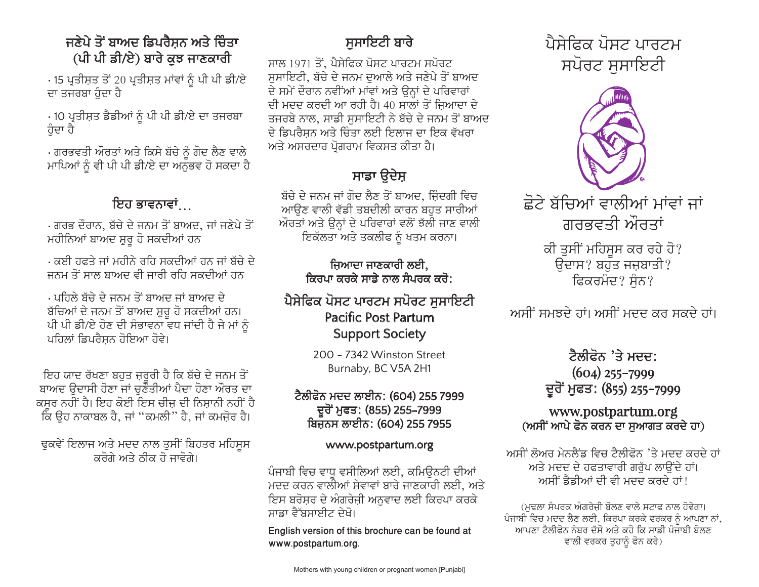### ਜਣੇਪੇ ਤੋਂ ਬਾਅਦ ਡਿਪਰੈਸਨ ਅਤੇ ਚਿੰਤਾ (ਪੀ ਪੀ ਡੀ/ਏ) ਬਾਰੇ ਕਝ ਜਾਣਕਾਰੀ

· 15 ਪ੍ਰਤੀਸ਼ਤ ਤੋਂ 20 ਪ੍ਰਤੀਸ਼ਤ ਮਾਂਵਾਂ ਨੂੰ ਪੀ ਪੀ ਡੀ/ਏ ਦਾ ਤਜਰਬਾ ਹੁੰਦਾ ਹੈ

· 10 ਪ੍ਰਤੀਸ਼ਤ ਡੈਡੀਆਂ ਨੂੰ ਪੀ ਪੀ ਡੀ/ਏ ਦਾ ਤਜਰਬਾ ਹੁੰਦਾ ਹੈ

· ਗਰਭਵਤੀ ਔਰਤਾਂ ਅਤੇ ਕਿਸੇ ਬੱਚੇ ਨੂੰ ਗੋਦ ਲੈਣ ਵਾਲੇ ਮਾਪਿਆਂ ਨੂੰ ਵੀ ਪੀ ਪੀ ਡੀ/ਏ ਦਾ ਅਨੁਭਵ ਹੋ ਸਕਦਾ ਹੈ

### ਇਹ ਭਾਵਨਾਵਾਂ

<u>. ਗਰਭ ਦੌਰਾਨ, ਬੱਚੇ ਦੇ ਜਨਮ ਤੋਂ ਬਾਅਦ, ਜਾਂ ਜਣੇਪੇ ਤੋਂ </u> ਮਹੀਨਿਆਂ ਬਾਅਦ ਸ਼ੁਰੂ ਹੋ ਸਕਦੀਆਂ ਹਨ

. ਕਈ ਹਫਤੇ ਜਾਂ ਮਹੀਨੇ ਰਹਿ ਸਕਦੀਆਂ ਹਨ ਜਾਂ ਬੱਚੇ ਦੇ ਜਨਮ ਤੋਂ ਸਾਲ ਬਾਅਦ ਵੀ ਜਾਰੀ ਰਹਿ ਸਕਦੀਆਂ ਹਨ

. ਪਹਿਲੇ ਬੱਚੇ ਦੇ ਜਨਮ ਤੋਂ ਬਾਅਦ ਜਾਂ ਬਾਅਦ ਦੇ ਬੱਚਿਆਂ ਦੇ ਜਨਮ ਤੋਂ ਬਾਅਦ ਸ਼ੁਰੂ ਹੋ ਸਕਦੀਆਂ ਹਨ। ਪੀ ਪੀ ਡੀ/ਏ ਹੋਣ ਦੀ ਸੰਭਾਵਨਾ ਵਧ ਜਾਂਦੀ ਹੈ ਜੇ ਮਾਂ ਨੂੰ ਪਹਿਲਾਂ ਡਿਪਰੈਸਨ ਹੋਇਆ ਹੋਵੇ।

ਇਹ ਯਾਦ ਰੱਖਣਾ ਬਹੁਤ ਜ਼ਰੂਰੀ ਹੈ ਕਿ ਬੱਚੇ ਦੇ ਜਨਮ ਤੋਂ ਬਾਅਦ ੳਦਾਸੀ ਹੋਣਾ ਜਾਂ ਚਣੌਤੀਆਂ ਪੈਦਾ ਹੋਣਾ ਔਰਤ ਦਾ ਕਸਰ ਨਹੀਂ ਹੈ। ਇਹ ਕੋਈ ਇਸ ਚੀਜ਼ ਦੀ ਨਿਸ਼ਾਨੀ ਨਹੀਂ ਹੈ ਕਿ ਉਹ ਨਾਕਾਬਲ ਹੈ, ਜਾਂ ''ਕਮਲੀ'' ਹੈ, ਜਾਂ ਕਮਜ਼ੋਰ ਹੈ।

ਢੁਕਵੇਂ ਇਲਾਜ ਅਤੇ ਮਦਦ ਨਾਲ ਤੁਸੀਂ ਬਿਹਤਰ ਮਹਿਸੁਸ ਕਰੋਗੇ ਅਤੇ ਨੀਕ ਹੋ ਜਾਵੋਗੇ।

# ਸਸਾਇਟੀ ਬਾਰੇ

ਸਾਲ 1971 ਤੋਂ. ਪੈਸੇਫਿਕ ਪੋਸਟ ਪਾਰਟਮ ਸਪੋਰਟ ਸਸਾਇਟੀ, ਬੱਚੇ ਦੇ ਜਨਮ ਦਆਲੇ ਅਤੇ ਜਣੇਪੇ ਤੋਂ ਬਾਅਦ ਦੇ ਸਮੇਂ ਦੌਰਾਨ ਨਵੀਂਆਂ ਮਾਂਵਾਂ ਅਤੇ ਉਨ੍ਹਾਂ ਦੇ ਪਰਿਵਾਰਾਂ ਦੀ ਮਦਦ ਕਰਦੀ ਆ ਰਹੀ ਹੈ। 40 ਸਾਲਾਂ ਤੋਂ ਜ਼ਿਆਦਾ ਦੇ ਤਜਰਬੇ ਨਾਲ, ਸਾਡੀ ਸਸਾਇਟੀ ਨੇ ਬੱਚੇ ਦੇ ਜਨਮ ਤੋਂ ਬਾਅਦ ਦੇ ਡਿਪਰੈਸ਼ਨ ਅਤੇ ਚਿੰਤਾ ਲਈ ਇਲਾਜ ਦਾ ਇਕ ਵੱਖਰਾ ਅਤੇ ਅਸਰਦਾਰ ਪੋਗਰਾਮ ਵਿਕਸਤ ਕੀਤਾ ਹੈ।

# ਸਾਡਾ ੳਦੇਸ਼

ਬੱਚੇ ਦੇ ਜਨਮ ਜਾਂ ਗੋਦ ਲੈਣ ਤੋਂ ਬਾਅਦ, ਜ਼ਿੰਦਗੀ ਵਿਚ ਆੳਣ ਵਾਲੀ ਵੱਡੀ ਤਬਦੀਲੀ ਕਾਰਨ ਬਹੁਤ ਸਾਰੀਆਂ ਔਰਤਾਂ ਅਤੇ ਉਨ੍ਹਾਂ ਦੇ ਪਰਿਵਾਰਾਂ ਵਲੋਂ ਝੱਲੀ ਜਾਣ ਵਾਲੀ ਇਕੱਲਤਾ ਅਤੇ ਤਕਲੀਫ ਨੂੰ ਖਤਮ ਕਰਨਾ।

### ਜਿਆਦਾ ਜਾਣਕਾਰੀ ਲਈ, ਕਿਰਪਾ ਕਰਕੇ ਸਾਡੇ ਨਾਲ ਸੰਪਰਕ ਕਰੋ:

### ਪੈਸੇਫਿਕ ਪੋਸਟ ਪਾਰਟਮ ਸਪੋਰਟ ਸੁਸਾਇਟੀ **Pacific Post Partum Support Society**

200 - 7342 Winston Street Burnaby, BC V5A 2H1

#### ਟੈਲੀਫੋਨ ਮਦਦ ਲਾਈਨ: (604) 255 7999 ਦੂਰੋਂ ਮੁਫਤ: (855) 255–7999 ਬਿਜਨਸ ਲਾਈਨ: (604) 255 7955

#### www.postpartum.org

ਪੰਜਾਬੀ ਵਿਚ ਵਾਧ ਵਸੀਲਿਆਂ ਲਈ, ਕਮਿੳਨਟੀ ਦੀਆਂ ਮਦਦ ਕਰਨ ਵਾਲੀਆਂ ਸੇਵਾਵਾਂ ਬਾਰੇ ਜਾਣਕਾਰੀ ਲਈ, ਅਤੇ ਇਸ ਬਰੋਸ਼ਰ ਦੇ ਅੰਗਰੇਜ਼ੀ ਅਨੁਵਾਦ ਲਈ ਕਿਰਪਾ ਕਰਕੇ ਸਾਡਾ ਵੈੱਬਸਾਈਟ ਦੇਖੋ।

English version of this brochure can be found at www.postpartum.org.



ਛੋਟੇ ਬੱਚਿਆਂ ਵਾਲੀਆਂ ਮਾਂਵਾਂ ਜਾਂ ਗਰਭਵਤੀ ਔਰਤਾਂ ਕੀ ਤੁਸੀਂ ਮਹਿਸੂਸ ਕਰ ਰਹੇ ਹੋ? ਉਦਾਸ? ਬਹੁਤ ਜਜ਼ਬਾਤੀ? ਫਿਕਰਮੰਦ? ਸੋਨ?

ਅਸੀਂ ਸਮਝਦੇ ਹਾਂ। ਅਸੀਂ ਮਦਦ ਕਰ ਸਕਦੇ ਹਾਂ।

### ਟੈਲੀਫੋਨ 'ਤੇ ਮਦਦ:  $(604)$  255-7999 ਦੂਰੋਂ ਮੁਫਤ: (855) 255-7999

#### www.postpartum.org (ਅਸੀਂ ਆਪੇ ਫੋਨ ਕਰਨ ਦਾ ਸਆਗਤ ਕਰਦੇ ਹਾ)

ਅਸੀਂ ਲੋਅਰ ਮੇਨਲੈਂਡ ਵਿਚ ਟੈਲੀਫੋਨ 'ਤੇ ਮਦਦ ਕਰਦੇ ਹਾਂ ਅਤੇ ਮਦਦ ਦੇ ਹਫਤਾਵਾਰੀ ਗਰੁੱਪ ਲਾਉਂਦੇ ਹਾਂ। ਅਸੀਂ ਡੈਡੀਆਂ ਦੀ ਵੀ ਮਦਦ ਕਰਦੇ ਹਾਂ।

(ਮਢਲਾ ਸੰਪਰਕ ਅੰਗਰੇਜ਼ੀ ਬੋਲਣ ਵਾਲੇ ਸਟਾਫ ਨਾਲ ਹੋਵੇਗਾ। ਪੰਜਾਬੀ ਵਿਚ ਮਦਦ ਲੈਣ ਲਈ, ਕਿਰਪਾ ਕਰਕੇ ਵਰਕਰ ਨੂੰ ਆਪਣਾ ਨਾਂ, ਆਪਣਾ ਟੈਲੀਫੋਨ ਨੰਬਰ ਦੱਸੋ ਅਤੇ ਕਹੋ ਕਿ ਸਾਡੀ ਪੰਜਾਬੀ ਬੋਲਣ ਵਾਲੀ ਵਰਕਰ ਤੁਹਾਨੂੰ ਫੋਨ ਕਰੇ)